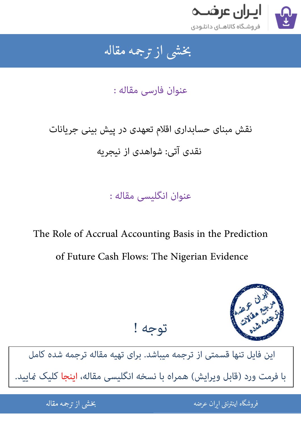

## جمه مقاله شی از تر بخشی از :

عنوان فارسی مقاله :

## نقش مبنای حسابداری اقلام تعهدی در پیش بینی جریانات نقدی آتی: شواهدی از نیجریه

عنوان انگلیسی مقاله :

The Role of Accrual Accounting Basis in the Prediction of Future Cash Flows: The Nigerian Evidence



[این فایل تنها قسمتی از ترجمه میباشد. برای تهیه مقاله ترجمه شده کامل](http://iranarze.ir/accrual+accounting+basis+prediction+cash+flows+nigerian)  با فرمت ورد (قابل ویرایش) همراه با نسخه انگلیسی مقاله، اینجا کلیک غایید.

توجه !

֦֘ ه اينترنتي ايران عرضه مستخدم استخدام استخدام المستخدم المستخدم المستخدم المستخدم المستخدم المستخدم المستخدم ال 

شی از ترجمه <mark>مقا</mark>له